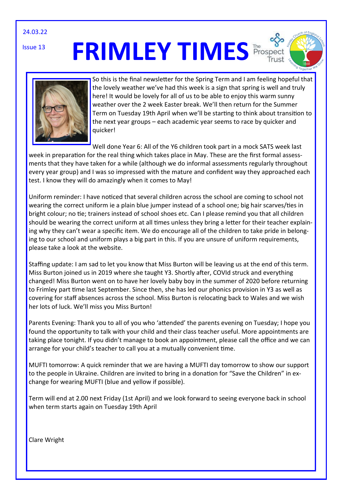24.03.22

Issue 13

# **FRIMLEY TIMES** Prospect





So this is the final newsletter for the Spring Term and I am feeling hopeful that the lovely weather we've had this week is a sign that spring is well and truly here! It would be lovely for all of us to be able to enjoy this warm sunny weather over the 2 week Easter break. We'll then return for the Summer Term on Tuesday 19th April when we'll be starting to think about transition to the next year groups – each academic year seems to race by quicker and quicker!

Well done Year 6: All of the Y6 children took part in a mock SATS week last week in preparation for the real thing which takes place in May. These are the first formal assessments that they have taken for a while (although we do informal assessments regularly throughout every year group) and I was so impressed with the mature and confident way they approached each test. I know they will do amazingly when it comes to May!

Uniform reminder: I have noticed that several children across the school are coming to school not wearing the correct uniform ie a plain blue jumper instead of a school one; big hair scarves/ties in bright colour; no tie; trainers instead of school shoes etc. Can I please remind you that all children should be wearing the correct uniform at all times unless they bring a letter for their teacher explaining why they can't wear a specific item. We do encourage all of the children to take pride in belonging to our school and uniform plays a big part in this. If you are unsure of uniform requirements, please take a look at the website.

Staffing update: I am sad to let you know that Miss Burton will be leaving us at the end of this term. Miss Burton joined us in 2019 where she taught Y3. Shortly after, COVId struck and everything changed! Miss Burton went on to have her lovely baby boy in the summer of 2020 before returning to Frimley part time last September. Since then, she has led our phonics provision in Y3 as well as covering for staff absences across the school. Miss Burton is relocating back to Wales and we wish her lots of luck. We'll miss you Miss Burton!

Parents Evening: Thank you to all of you who 'attended' the parents evening on Tuesday; I hope you found the opportunity to talk with your child and their class teacher useful. More appointments are taking place tonight. If you didn't manage to book an appointment, please call the office and we can arrange for your child's teacher to call you at a mutually convenient time.

MUFTI tomorrow: A quick reminder that we are having a MUFTI day tomorrow to show our support to the people in Ukraine. Children are invited to bring in a donation for "Save the Children" in exchange for wearing MUFTI (blue and yellow if possible).

Term will end at 2.00 next Friday (1st April) and we look forward to seeing everyone back in school when term starts again on Tuesday 19th April

Clare Wright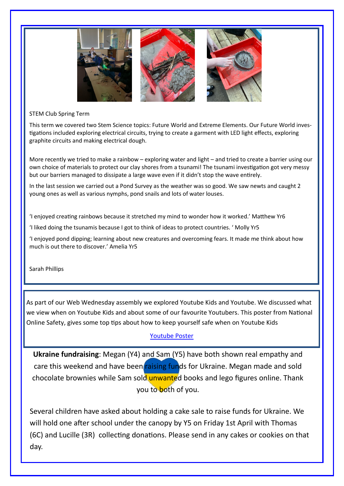

#### STEM Club Spring Term

This term we covered two Stem Science topics: Future World and Extreme Elements. Our Future World investigations included exploring electrical circuits, trying to create a garment with LED light effects, exploring graphite circuits and making electrical dough.

More recently we tried to make a rainbow – exploring water and light – and tried to create a barrier using our own choice of materials to protect our clay shores from a tsunami! The tsunami investigation got very messy but our barriers managed to dissipate a large wave even if it didn't stop the wave entirely.

In the last session we carried out a Pond Survey as the weather was so good. We saw newts and caught 2 young ones as well as various nymphs, pond snails and lots of water louses.

'I enjoyed creating rainbows because it stretched my mind to wonder how it worked.' Matthew Yr6

'I liked doing the tsunamis because I got to think of ideas to protect countries. ' Molly Yr5

'I enjoyed pond dipping; learning about new creatures and overcoming fears. It made me think about how much is out there to discover.' Amelia Yr5

Sarah Phillips

As part of our Web Wednesday assembly we explored Youtube Kids and Youtube. We discussed what we view when on Youtube Kids and about some of our favourite Youtubers. This poster from National Online Safety, gives some top tips about how to keep yourself safe when on Youtube Kids

# [Youtube Poster](https://www.frimley.surrey.sch.uk/_site/data/files/learning/C9159C54A9F7656D2139494368CE67F0.pdf)

**Ukraine fundraising**: Megan (Y4) and Sam (Y5) have both shown real empathy and care this weekend and have been raising funds for Ukraine. Megan made and sold chocolate brownies while Sam sold unwanted books and lego figures online. Thank you to both of you.

Several children have asked about holding a cake sale to raise funds for Ukraine. We will hold one after school under the canopy by Y5 on Friday 1st April with Thomas (6C) and Lucille (3R) collecting donations. Please send in any cakes or cookies on that day.